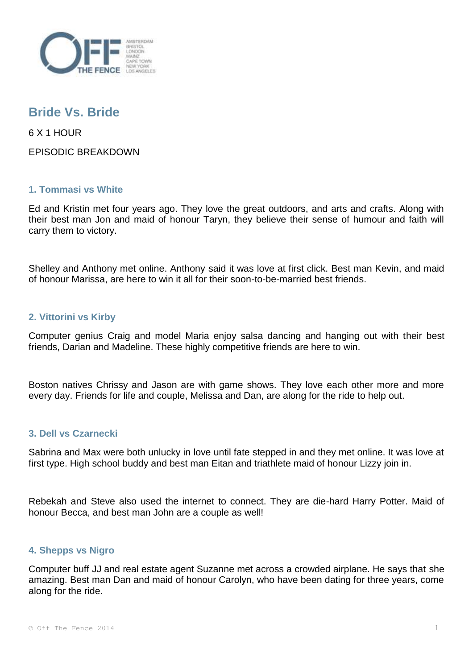

# **Bride Vs. Bride**

6 X 1 HOUR

EPISODIC BREAKDOWN

## **1. Tommasi vs White**

Ed and Kristin met four years ago. They love the great outdoors, and arts and crafts. Along with their best man Jon and maid of honour Taryn, they believe their sense of humour and faith will carry them to victory.

Shelley and Anthony met online. Anthony said it was love at first click. Best man Kevin, and maid of honour Marissa, are here to win it all for their soon-to-be-married best friends.

## **2. Vittorini vs Kirby**

Computer genius Craig and model Maria enjoy salsa dancing and hanging out with their best friends, Darian and Madeline. These highly competitive friends are here to win.

Boston natives Chrissy and Jason are with game shows. They love each other more and more every day. Friends for life and couple, Melissa and Dan, are along for the ride to help out.

### **3. Dell vs Czarnecki**

Sabrina and Max were both unlucky in love until fate stepped in and they met online. It was love at first type. High school buddy and best man Eitan and triathlete maid of honour Lizzy join in.

Rebekah and Steve also used the internet to connect. They are die-hard Harry Potter. Maid of honour Becca, and best man John are a couple as well!

### **4. Shepps vs Nigro**

Computer buff JJ and real estate agent Suzanne met across a crowded airplane. He says that she amazing. Best man Dan and maid of honour Carolyn, who have been dating for three years, come along for the ride.